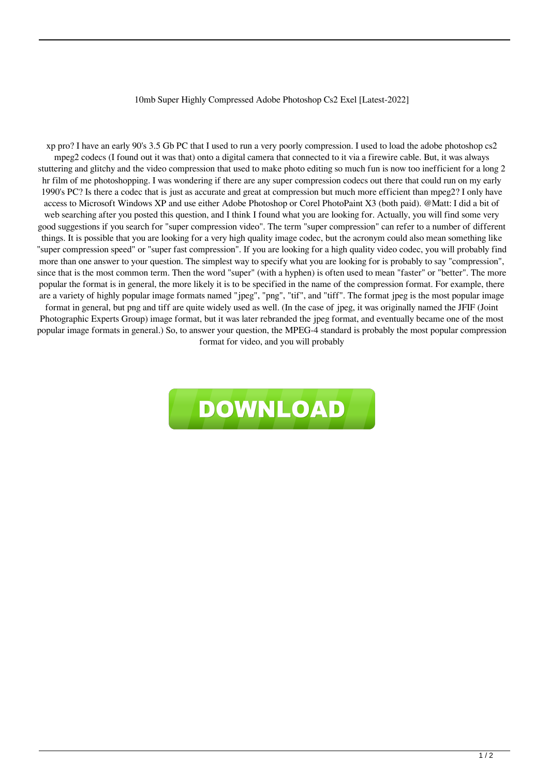## 10mb Super Highly Compressed Adobe Photoshop Cs2 Exel [Latest-2022]

xp pro? I have an early 90's 3.5 Gb PC that I used to run a very poorly compression. I used to load the adobe photoshop cs2 mpeg2 codecs (I found out it was that) onto a digital camera that connected to it via a firewire cable. But, it was always stuttering and glitchy and the video compression that used to make photo editing so much fun is now too inefficient for a long 2 hr film of me photoshopping. I was wondering if there are any super compression codecs out there that could run on my early 1990's PC? Is there a codec that is just as accurate and great at compression but much more efficient than mpeg2? I only have access to Microsoft Windows XP and use either Adobe Photoshop or Corel PhotoPaint X3 (both paid). @Matt: I did a bit of web searching after you posted this question, and I think I found what you are looking for. Actually, you will find some very good suggestions if you search for "super compression video". The term "super compression" can refer to a number of different things. It is possible that you are looking for a very high quality image codec, but the acronym could also mean something like "super compression speed" or "super fast compression". If you are looking for a high quality video codec, you will probably find more than one answer to your question. The simplest way to specify what you are looking for is probably to say "compression", since that is the most common term. Then the word "super" (with a hyphen) is often used to mean "faster" or "better". The more popular the format is in general, the more likely it is to be specified in the name of the compression format. For example, there are a variety of highly popular image formats named "jpeg", "png", "tif", and "tiff". The format jpeg is the most popular image format in general, but png and tiff are quite widely used as well. (In the case of jpeg, it was originally named the JFIF (Joint Photographic Experts Group) image format, but it was later rebranded the jpeg format, and eventually became one of the most popular image formats in general.) So, to answer your question, the MPEG-4 standard is probably the most popular compression format for video, and you will probably